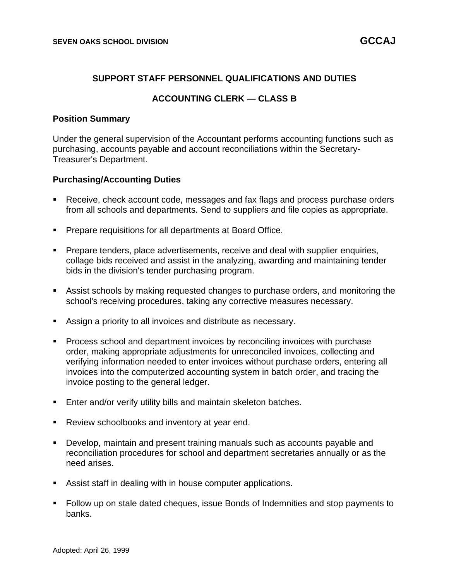## **SUPPORT STAFF PERSONNEL QUALIFICATIONS AND DUTIES**

# **ACCOUNTING CLERK — CLASS B**

#### **Position Summary**

Under the general supervision of the Accountant performs accounting functions such as purchasing, accounts payable and account reconciliations within the Secretary-Treasurer's Department.

#### **Purchasing/Accounting Duties**

- Receive, check account code, messages and fax flags and process purchase orders from all schools and departments. Send to suppliers and file copies as appropriate.
- Prepare requisitions for all departments at Board Office.
- Prepare tenders, place advertisements, receive and deal with supplier enquiries, collage bids received and assist in the analyzing, awarding and maintaining tender bids in the division's tender purchasing program.
- Assist schools by making requested changes to purchase orders, and monitoring the school's receiving procedures, taking any corrective measures necessary.
- Assign a priority to all invoices and distribute as necessary.
- Process school and department invoices by reconciling invoices with purchase order, making appropriate adjustments for unreconciled invoices, collecting and verifying information needed to enter invoices without purchase orders, entering all invoices into the computerized accounting system in batch order, and tracing the invoice posting to the general ledger.
- Enter and/or verify utility bills and maintain skeleton batches.
- Review schoolbooks and inventory at year end.
- Develop, maintain and present training manuals such as accounts payable and reconciliation procedures for school and department secretaries annually or as the need arises.
- Assist staff in dealing with in house computer applications.
- Follow up on stale dated cheques, issue Bonds of Indemnities and stop payments to banks.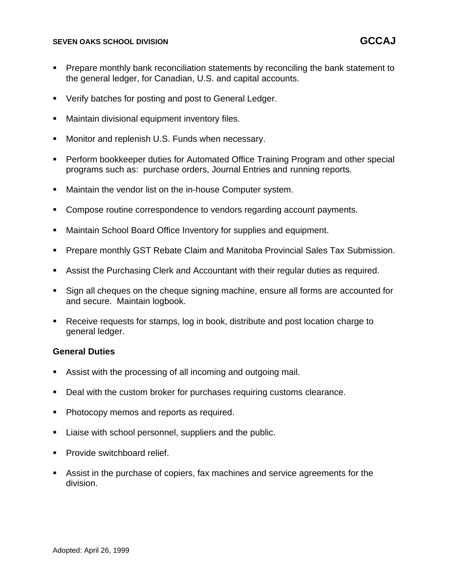#### **SEVEN OAKS SCHOOL DIVISION GCCAJ**

- Prepare monthly bank reconciliation statements by reconciling the bank statement to the general ledger, for Canadian, U.S. and capital accounts.
- Verify batches for posting and post to General Ledger.
- Maintain divisional equipment inventory files.
- Monitor and replenish U.S. Funds when necessary.
- Perform bookkeeper duties for Automated Office Training Program and other special programs such as: purchase orders, Journal Entries and running reports.
- Maintain the vendor list on the in-house Computer system.
- Compose routine correspondence to vendors regarding account payments.
- Maintain School Board Office Inventory for supplies and equipment.
- Prepare monthly GST Rebate Claim and Manitoba Provincial Sales Tax Submission.
- Assist the Purchasing Clerk and Accountant with their regular duties as required.
- Sign all cheques on the cheque signing machine, ensure all forms are accounted for and secure. Maintain logbook.
- Receive requests for stamps, log in book, distribute and post location charge to general ledger.

## **General Duties**

- Assist with the processing of all incoming and outgoing mail.
- Deal with the custom broker for purchases requiring customs clearance.
- Photocopy memos and reports as required.
- Liaise with school personnel, suppliers and the public.
- Provide switchboard relief.
- Assist in the purchase of copiers, fax machines and service agreements for the division.